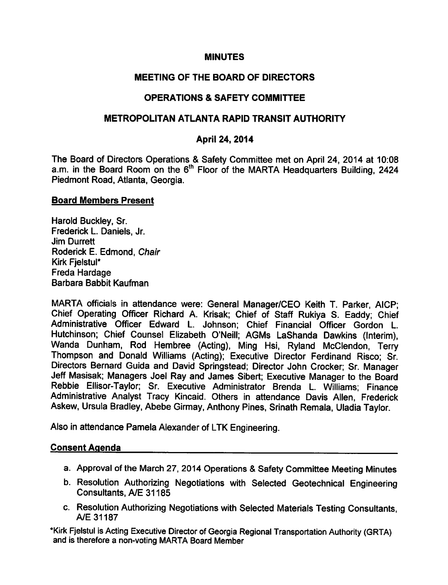## MINUTES

# MEETING OF THE BOARD OF DIRECTORS

# OPERATIONS SAFETY COMMITTEE

# METROPOLITAN ATLANTA RAPID TRANSIT AUTHORITY

## April 24, 2014

The Board of Directors Operations & Safety Committee met on April 24, 2014 at 10:08 a.m. in the Board Room on the 6" Floor of the MARTA Headquarters Building, 2424 Piedmont Road, Atlanta, Georgia.

#### Board Members Present

Harold Buckley, Sr. Frederick L. Daniels, Jr. Jim Durrett Roderick E. Edmond, Chair Kirk Fielstul\* Freda Hardage Barbara Babbit Kaufman

MARTA officials in attendance were: General Manager/CEO Keith T. Parker, AICP; Chief Operating Officer Richard A. Krisak; Chief of Staff Rukiya S. Eaddy; Chief Administrative Officer Edward L. Johnson; Chief Financial Officer Gordon L. Hutchinson; Chief Counsel Elizabeth O'Neill; AGMs LaShanda Dawkins (Interim), Wanda Dunham, Rod Hembree (Acting), Ming Hsi, Ryland McClendon, Terry Thompson and Donald Williams (Acting); Executive Director Ferdinand Risco; Sr. Directors Bernard Guida and David Springstead; Director John Crocker; Sr. Manager Jeff Masisak; Managers Joel Ray and James Sibert; Executive Manager to the Board Rebbie Ellisor-Taylor; Sr. Executive Administrator Brenda L. Williams; Finance Administrative Analyst Tracy Kincaid. Others in attendance Davis Allen, Frederick Askew, Ursula Bradley, Abebe Girmay, Anthony Pines, Srinath Remala, Uladia Taylor.

Also in attendance Pamela Alexander of LTK Engineering.

## Consent Agenda

- a. Approval of the March 27, 2014 Operations & Safety Committee Meeting Minutes
- b. Resolution Authorizing Negotiations with Selected Geotechnical Engineering Consultants, A/E 31185
- c. Resolution Authorizing Negotiations with Selected Materials Testing Consultants, A/E 31187

\*Kirk Fjelstul is Acting Executive Director of Georgia Regional Transportation Authority (GRTA) and is therefore a non-voting MARTA Board Member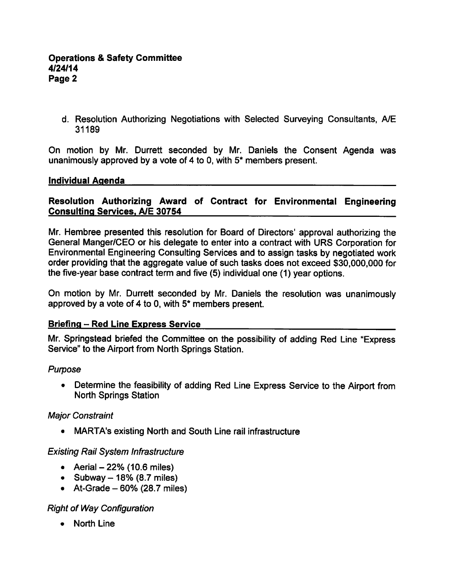d. Resolution Authorizing Negotiations with Selected Surveying Consultants, A/E 31189

On motion by Mr. Durrett seconded by Mr. Daniels the Consent Agenda was unanimously approved by a vote of 4 to 0, with  $5*$  members present.

## Individual Agenda

## Resolution Authorizing Award of Contract for Environmental Engineering Consulting Services. A/E 30754

Mr. Hembree presented this resolution for Board of Directors' approval authorizing the General Manger/CEO or his delegate to enter into a contract with URS Corporation for Environmental Engineering Consulting Services and to assign tasks by negotiated work order providing that the aggregate value of such tasks does not exceed \$30,000,000 for the five-year base contract term and five (5) individual one (1) year options.

On motion by Mr. Durrett seconded by Mr. Daniels the resolution was unanimously approved by a vote of 4 to 0, with  $5^*$  members present.

## Briefing – Red Line Express Service

Mr. Springstead briefed the Committee on the possibility of adding Red Line "Express Service" to the Airport from North Springs Station.

## Purpose

Determine the feasibility of adding Red Line Express Service to the Airport from North Springs Station

## Major Constraint

MARTA's existing North and South Line rail infrastructure

## Existing Rail System Infrastructure

- Aerial  $-22%$  (10.6 miles)
- Subway  $-18%$  (8.7 miles)
- $\bullet$  At-Grade 60% (28.7 miles)

# Right of Way Configuration

• North Line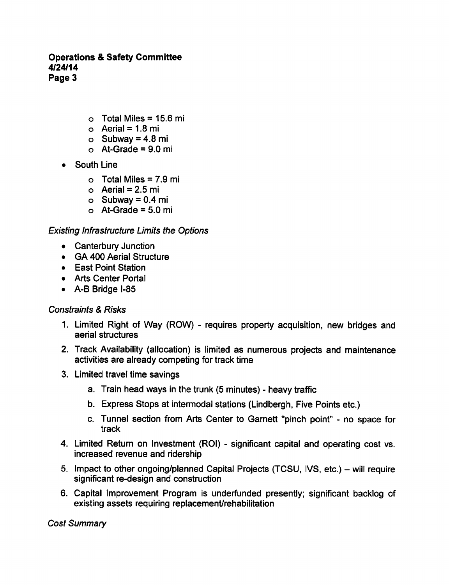- $\circ$  Total Miles = 15.6 mi
- o Aerial =  $1.8$  mi
- $\circ$  Subway = 4.8 mi
- $\circ$  At-Grade = 9.0 mi
- South Line
	- $\circ$  Total Miles = 7.9 mi
	- o Aerial =  $2.5$  mi
	- $\circ$  Subway = 0.4 mi
	- $\circ$  At-Grade = 5.0 mi

#### Existing Infrastructure Limits the Options

- Canterbury Junction
- GA 400 Aerial Structure
- East Point Station
- Arts Center Portal
- A-B Bridge I-85

## **Constraints & Risks**

- 1. Limited Right of Way (ROW) requires property acquisition, new bridges and aerial structures
- 2. Track Availability (allocation) is limited as numerous projects and maintenance activities are already competing for track time
- 3. Limited travel time savings
	- a. Train head ways in the trunk (5 minutes) heavy traffic
	- b. Express Stops at intermodal stations (Lindbergh, Five Points etc.)
	- c. Tunnel section from Arts Center to Garnett "pinch point" no space for track
- 4. Limited Return on Investment (ROI) significant capital and operating cost vs. increased revenue and ridership
- 5. Impact to other ongoing/planned Capital Projects (TCSU, IVS, etc.) will require significant re-design and construction
- 6. Capital Improvement Program is underfunded presently; significant backlog of existing assets requiring replacement/rehabilitation

Cost Summary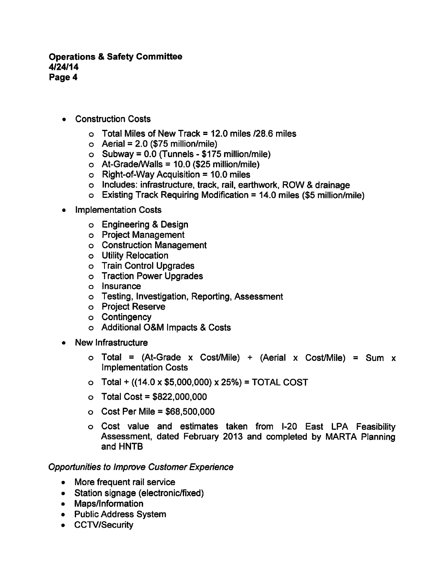- Construction Costs
	- $\circ$  Total Miles of New Track = 12.0 miles /28.6 miles
	- $\circ$  Aerial = 2.0 (\$75 million/mile)
	- $\circ$  Subway = 0.0 (Tunnels \$175 million/mile)
	- $\circ$  At-Grade/Walls = 10.0 (\$25 million/mile)
	- $\circ$  Right-of-Way Acquisition = 10.0 miles
	- o Includes: infrastructure, track, rail, earthwork, ROW & drainage
	- $\circ$  Existing Track Requiring Modification = 14.0 miles (\$5 million/mile)
- Implementation Costs
	- o Engineering & Design
	- Project Management
	- Construction Management
	- Utility Relocation
	- Train Control Upgrades
	- o Traction Power Upgrades
	- Insurance
	- Testing, Investigation, Reporting, Assessment
	- Project Reserve
	- o Contingency
	- o Additional O&M Impacts & Costs
- New Infrastructure
	- $\circ$  Total = (At-Grade x Cost/Mile) + (Aerial x Cost/Mile) = Sum x Implementation Costs
	- $\circ$  Total + ((14.0 x \$5,000,000) x 25%) = TOTAL COST
	- $\circ$  Total Cost = \$822,000,000
	- $\circ$  Cost Per Mile = \$68,500,000
	- Cost value and estimates taken from I-20 East LPA Feasibility Assessment, dated February 2013 and completed by MARTA Planning and HNTB

#### Opportunities to Improve Customer Experience

- More frequent rail service
- Station signage (electronic/fixed)
- Maps/Information
- Public Address System
- CCTV/Security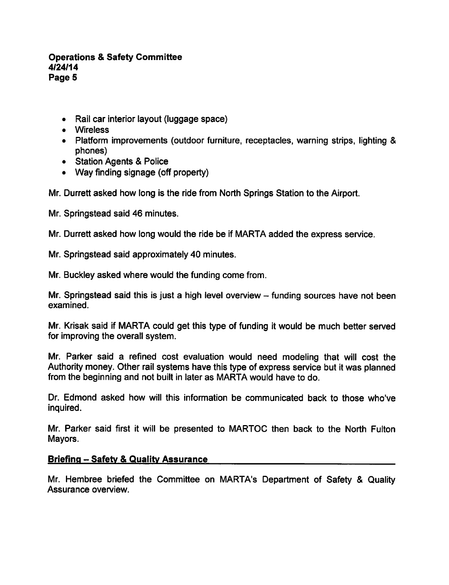- Rail car interior layout (luggage space)
- Wireless
- Platform improvements (outdoor furniture, receptacles, warning strips, lighting & phones)
- Station Agents & Police
- Way finding signage (off property)

Mr. Durrett asked how long is the ride from North Springs Station to the Airport.

Mr. Springstead said 46 minutes.

Mr. Durrett asked how long would the ride be if MARTA added the express service.

Mr. Springstead said approximately 40 minutes.

Mr. Buckley asked where would the funding come from.

Mr. Springstead said this is just a high level overview  $-$  funding sources have not been examined.

Mr. Krisak said if MARTA could get this type of funding it would be much better served for improving the overall system.

Mr. Parker said a refined cost evaluation would need modeling that will cost the Authority money. Other rail systems have this type of express service but it was planned from the beginning and not built in later as MARTA would have to do.

Dr. Edmond asked how will this information be communicated back to those who've inquired.

Mr. Parker said first it will be presented to MARTOC then back to the North Fulton Mayors.

## Briefing - Safety & Quality Assurance

Mr. Hembree briefed the Committee on MARTA's Department of Safety & Quality Assurance overview.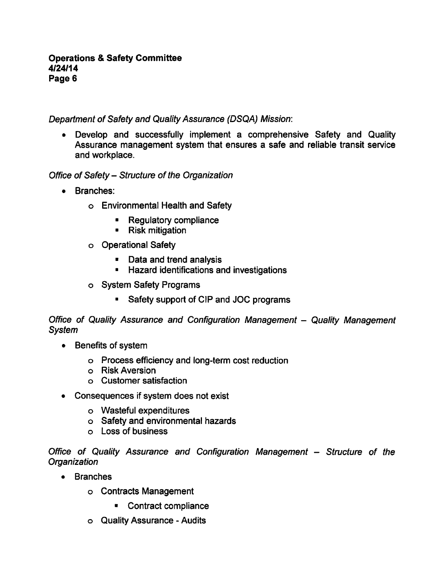Department of Safety and Quality Assurance (DSQA) Mission:

• Develop and successfully implement a comprehensive Safety and Quality Assurance management system that ensures a safe and reliable transit service and workplace.

Office of Safety- Structure of the Organization

- Branches:
	- Environmental Health and Safety
		- Regulatory compliance  $\blacksquare$
		- Risk mitigation
	- Operational Safety
		- **Data and trend analysis**
		- **Hazard identifications and investigations**
	- o System Safety Programs
		- Safety support of CIP and JOC programs

Office of Quality Assurance and Configuration Management - Quality Management System

- Benefits of system
	- Process efficiency and long-term cost reduction
	- Risk Aversion
	- Customer satisfaction
- Consequences if system does not exist
	- Wasteful expenditures
	- Safety and environmental hazards
	- Loss of business

Office of Quality Assurance and Configuration Management - Structure of the **Organization** 

- Branches
	- Contracts Management
		- Contract compliance
	- Quality Assurance Audits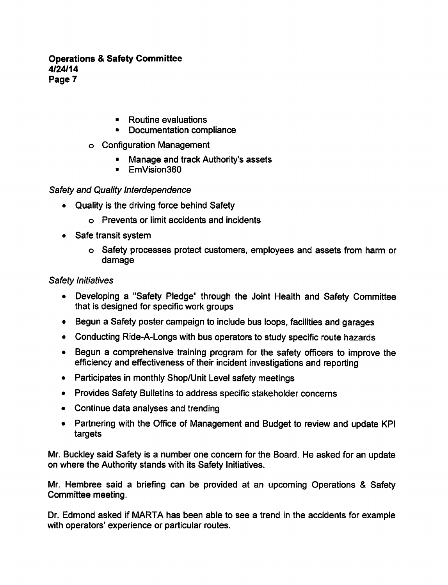- Routine evaluations
- Documentation compliance
- Configuration Management
	- Manage and track Authority's assets
	- **EmVision360**

## Safety and Quality Interdependence

- Quality is the driving force behind Safety
	- Prevents or limit accidents and incidents
- Safe transit system
	- Safety processes protect customers, employees and assets from harm or damage

## Safety Initiatives

- Developing a "Safety Pledge" through the Joint Health and Safety Committee that is designed for specific work groups
- Begun a Safety poster campaign to include bus loops, facilities and garages
- Conducting Ride-A-Longs with bus operators to study specific route hazards
- Begun a comprehensive training program for the safety officers to improve the efficiency and effectiveness of their incident investigations and reporting
- Participates in monthly Shop/Unit Level safety meetings
- Provides Safety Bulletins to address specific stakeholder concerns
- Continue data analyses and trending
- Partnering with the Office of Management and Budget to review and update KPI targets

Mr. Buckley said Safety is a number one concern for the Board. He asked for an update on where the Authority stands with its Safety Initiatives.

Mr. Hembree said a briefing can be provided at an upcoming Operations & Safety Committee meeting.

Dr. Edmond asked if MARTA has been able to see a trend in the accidents for example with operators' experience or particular routes.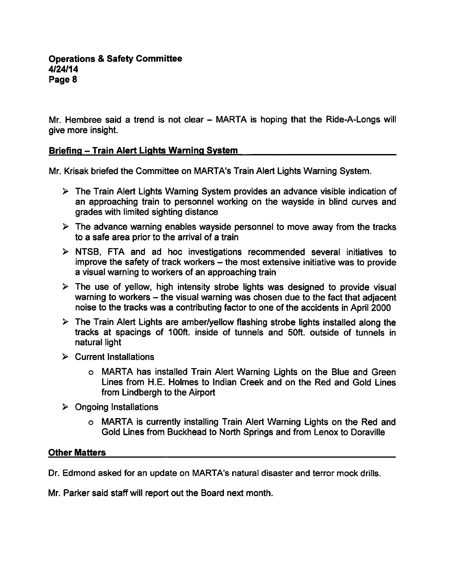Mr. Hembree said a trend is not clear  $-$  MARTA is hoping that the Ride-A-Longs will give more insight.

## Briefing - Train Alert Lights Warning System

Mr. Krisak briefed the Committee on MARTA's Train Alert Lights Warning System.

- $\triangleright$  The Train Alert Lights Warning System provides an advance visible indication of an approaching train to personnel working on the wayside in blind curves and grades with limited sighting distance
- $\triangleright$  The advance warning enables wayside personnel to move away from the tracks to a safe area prior to the arrival of a train
- $\triangleright$  NTSB, FTA and ad hoc investigations recommended several initiatives to improve the safety of track workers – the most extensive initiative was to provide a visual warning to workers of an approaching train
- $\triangleright$  The use of yellow, high intensity strobe lights was designed to provide visual warning to workers  $-$  the visual warning was chosen due to the fact that adjacent noise to the tracks was a contributing factor to one of the accidents in April 2000
- $\triangleright$  The Train Alert Lights are amber/yellow flashing strobe lights installed along the tracks at spacings of 100ft. inside of tunnels and 50ft. outside of tunnels in natural light
- $\triangleright$  Current Installations
	- MARTA has installed Train Alert Warning Lights on the Blue and Green Lines from H.E. Holmes to Indian Creek and on the Red and Gold Lines from Lindbergh to the Airport
- $\triangleright$  Ongoing Installations
	- MARTA is currently installing Train Alert Warning Lights on the Red and Gold Lines from Buckhead to North Springs and from Lenox to Doraville

## Other Matters

Dr. Edmond asked for an update on MARTA's natural disaster and terror mock drills.

Mr. Parker said staff will report out the Board next month.